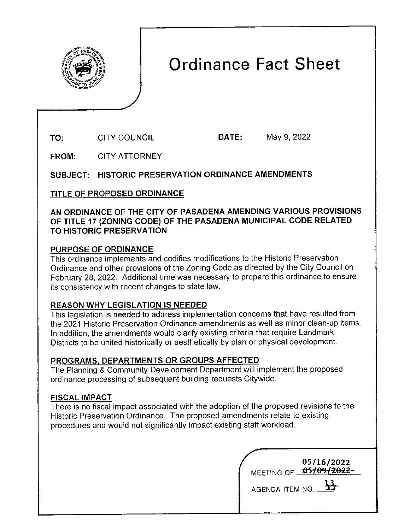

# **Ordinance Fact Sheet**

**TO:**  CITY COUNCIL **DATE:** May 9, 2022

**FROM:**  CITY ATTORNEY

**SUBJECT: HISTORIC PRESERVATION ORDINANCE AMENDMENTS** 

**TITLE OF PROPOSED ORDINANCE** 

#### **AN ORDINANCE OF THE CITY OF PASADENA AMENDING VARIOUS PROVISIONS OF TITLE 17 (ZONING CODE) OF THE PASADENA MUNICIPAL CODE RELATED TO HISTORIC PRESERVATION**

## **PURPOSE OF ORDINANCE**

This ordinance implements and codifies modifications to the Historic Preservation Ordinance and other provisions of the Zoning Code as directed by the City Council on February 28, 2022. Additional time was necessary to prepare this ordinance to ensure its consistency with recent changes to state law.

### **REASON WHY LEGISLATION IS NEEDED**

This legislation is needed to address implementation concerns that have resulted from the 2021 Historic Preservation Ordinance amendments as well as minor clean-up items. In addition, the amendments would clarify existing criteria that require Landmark Districts to be united historically or aesthetically by plan or physical development.

### **PROGRAMS1 DEPARTMENTS OR GROUPS AFFECTED**

The Planning & Community Development Department will implement the proposed ordinance processing of subsequent building requests Citywide.

### **FISCAL IMPACT**

There is no fiscal impact associated with the adoption of the proposed revisions to the Historic Preservation Ordinance. The proposed amendments relate to existing procedures and would not significantly impact existing staff workload.

| MEETING OF.            | 05/16/2022<br>0510912022- |
|------------------------|---------------------------|
| <b>AGENDA ITEM NO.</b> |                           |